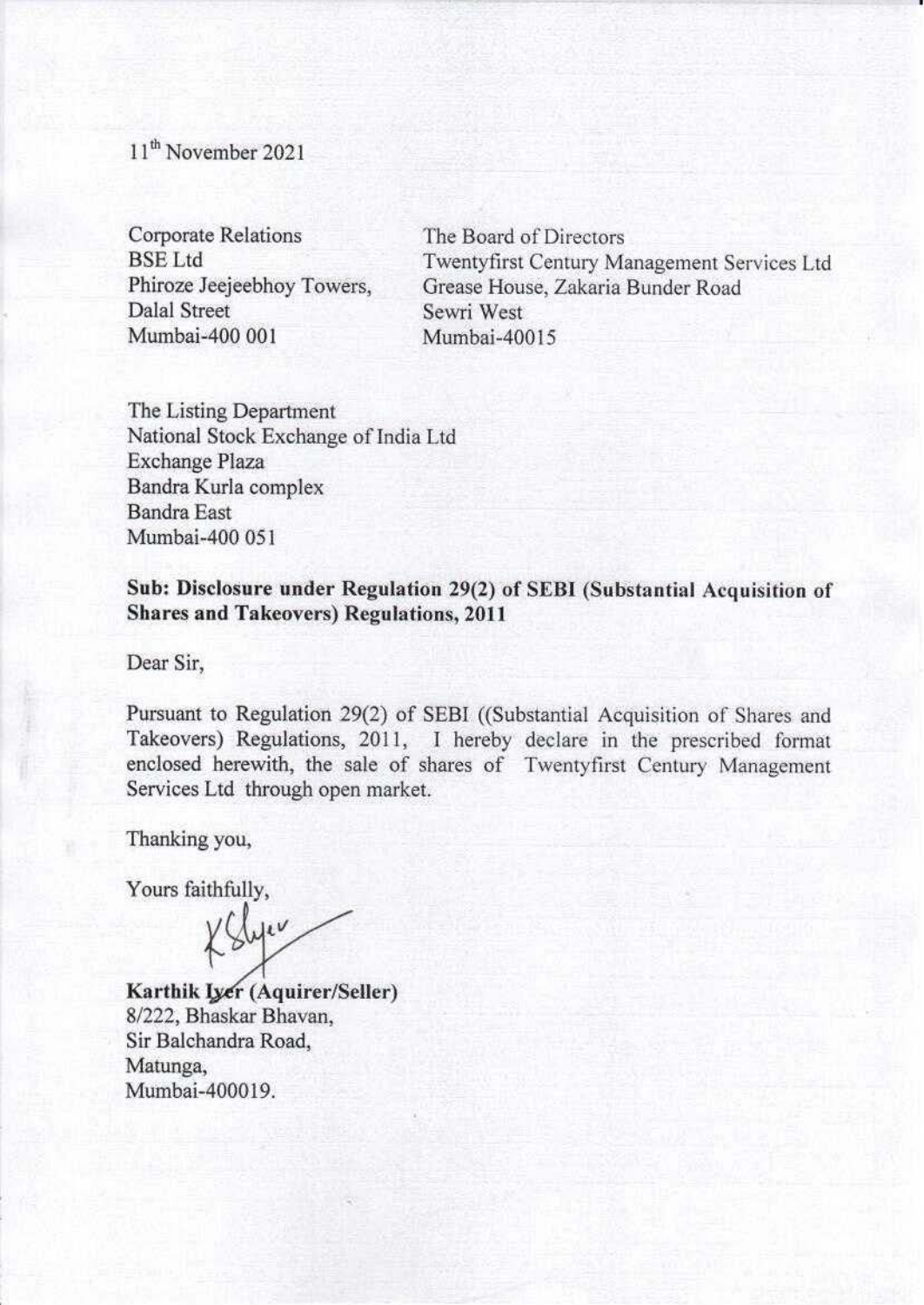11<sup>th</sup> November 2021

Corporate Relations BSELtd Phiroze Jeejeebhoy Towers, Dalal Street Mumbai-400 001

The Board of Directors Twentyfirst Century Management Services Ltd Grease House, Zakaria Bunder Road Sewri West Mumbai-40015

The Listing Department National Stock Exchange of India Ltd Exchange Plaza Bandra Kurla complex Bandra East Mumbai-400 051

Sub: Disclosure under Regulation 29(2) of SEBI (Substantial Acquisition of **Shares and Takeovers) Regulations, 2011** 

Dear Sir,

Pursuant to Regulation 29(2) of SEBI ((Substantial Acquisition of Shares and Takeovers) Regulations, 2011, I hereby declare in the prescribed format enclosed herewith, the sale of shares of Twentyfirst Century Management Services Ltd through open market.

Thanking you,

Yours faithfully,<br> $\sqrt{\frac{1}{2}}$ 

**Karthik Iyer** (Aquirer/Seller) 8/222, Bhaskar Bhavan, Sir Balchandra Road, Matunga, Mumbai-400019.